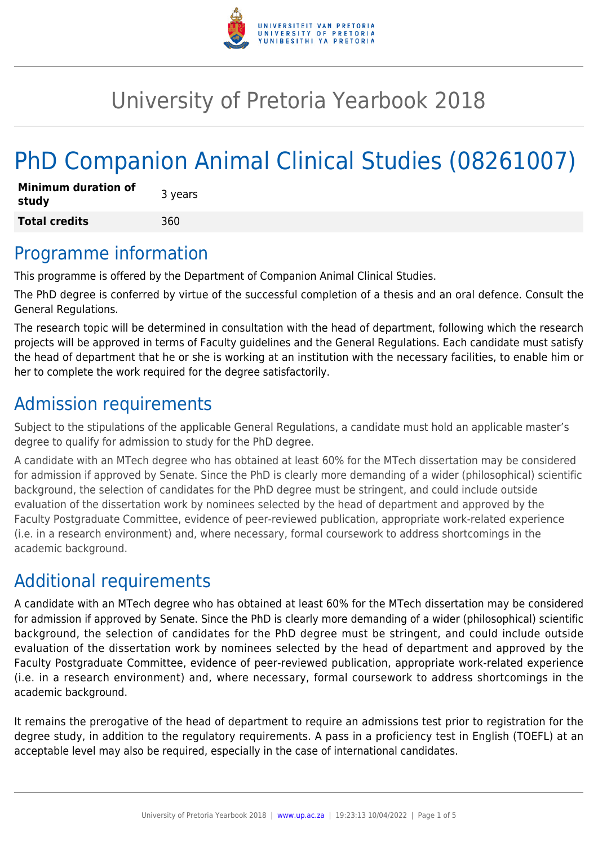

## University of Pretoria Yearbook 2018

# PhD Companion Animal Clinical Studies (08261007)

| <b>Minimum duration of</b><br>study | 3 years |
|-------------------------------------|---------|
| <b>Total credits</b>                | 360     |

### Programme information

This programme is offered by the Department of Companion Animal Clinical Studies.

The PhD degree is conferred by virtue of the successful completion of a thesis and an oral defence. Consult the General Regulations.

The research topic will be determined in consultation with the head of department, following which the research projects will be approved in terms of Faculty guidelines and the General Regulations. Each candidate must satisfy the head of department that he or she is working at an institution with the necessary facilities, to enable him or her to complete the work required for the degree satisfactorily.

### Admission requirements

Subject to the stipulations of the applicable General Regulations, a candidate must hold an applicable master's degree to qualify for admission to study for the PhD degree.

A candidate with an MTech degree who has obtained at least 60% for the MTech dissertation may be considered for admission if approved by Senate. Since the PhD is clearly more demanding of a wider (philosophical) scientific background, the selection of candidates for the PhD degree must be stringent, and could include outside evaluation of the dissertation work by nominees selected by the head of department and approved by the Faculty Postgraduate Committee, evidence of peer-reviewed publication, appropriate work-related experience (i.e. in a research environment) and, where necessary, formal coursework to address shortcomings in the academic background.

### Additional requirements

A candidate with an MTech degree who has obtained at least 60% for the MTech dissertation may be considered for admission if approved by Senate. Since the PhD is clearly more demanding of a wider (philosophical) scientific background, the selection of candidates for the PhD degree must be stringent, and could include outside evaluation of the dissertation work by nominees selected by the head of department and approved by the Faculty Postgraduate Committee, evidence of peer-reviewed publication, appropriate work-related experience (i.e. in a research environment) and, where necessary, formal coursework to address shortcomings in the academic background.

It remains the prerogative of the head of department to require an admissions test prior to registration for the degree study, in addition to the regulatory requirements. A pass in a proficiency test in English (TOEFL) at an acceptable level may also be required, especially in the case of international candidates.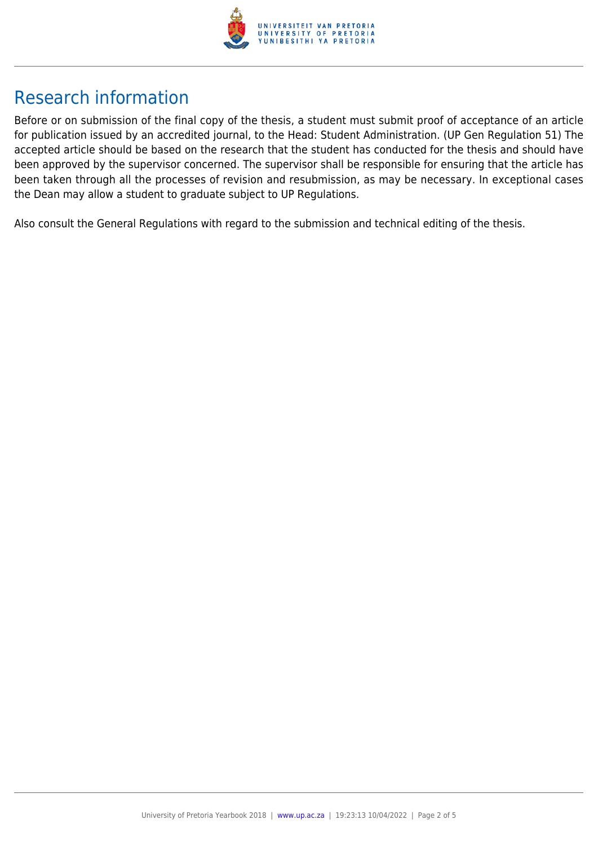

### Research information

Before or on submission of the final copy of the thesis, a student must submit proof of acceptance of an article for publication issued by an accredited journal, to the Head: Student Administration. (UP Gen Regulation 51) The accepted article should be based on the research that the student has conducted for the thesis and should have been approved by the supervisor concerned. The supervisor shall be responsible for ensuring that the article has been taken through all the processes of revision and resubmission, as may be necessary. In exceptional cases the Dean may allow a student to graduate subject to UP Regulations.

Also consult the General Regulations with regard to the submission and technical editing of the thesis.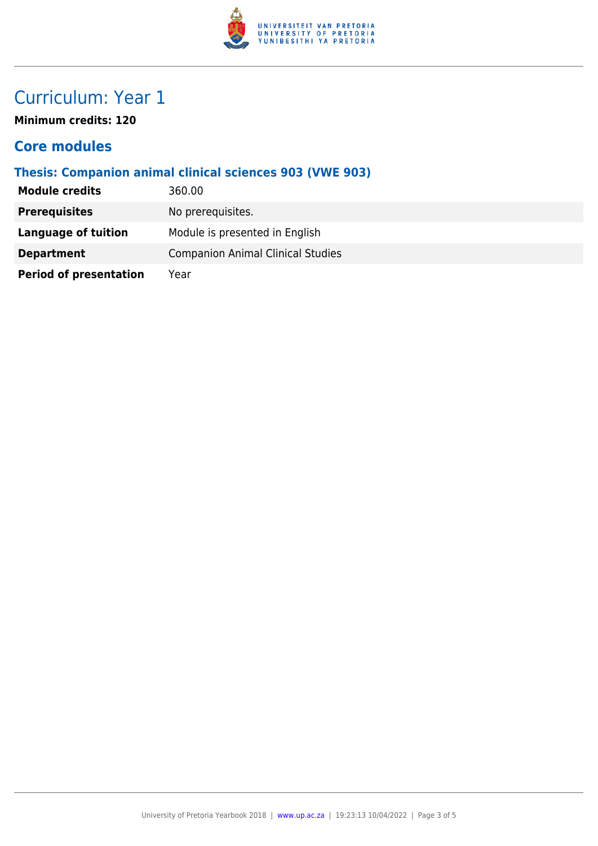

### Curriculum: Year 1

**Minimum credits: 120**

#### **Core modules**

#### **Thesis: Companion animal clinical sciences 903 (VWE 903)**

| <b>Module credits</b>         | 360.00                                   |
|-------------------------------|------------------------------------------|
| <b>Prerequisites</b>          | No prerequisites.                        |
| <b>Language of tuition</b>    | Module is presented in English           |
| <b>Department</b>             | <b>Companion Animal Clinical Studies</b> |
| <b>Period of presentation</b> | Year                                     |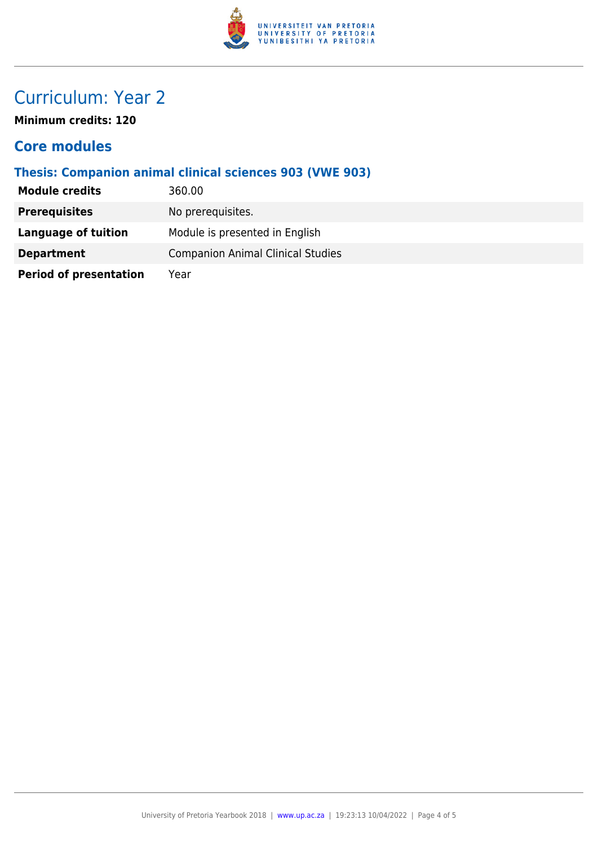

### Curriculum: Year 2

**Minimum credits: 120**

#### **Core modules**

#### **Thesis: Companion animal clinical sciences 903 (VWE 903)**

| <b>Module credits</b>         | 360.00                                   |
|-------------------------------|------------------------------------------|
| <b>Prerequisites</b>          | No prerequisites.                        |
| <b>Language of tuition</b>    | Module is presented in English           |
| <b>Department</b>             | <b>Companion Animal Clinical Studies</b> |
| <b>Period of presentation</b> | Year                                     |